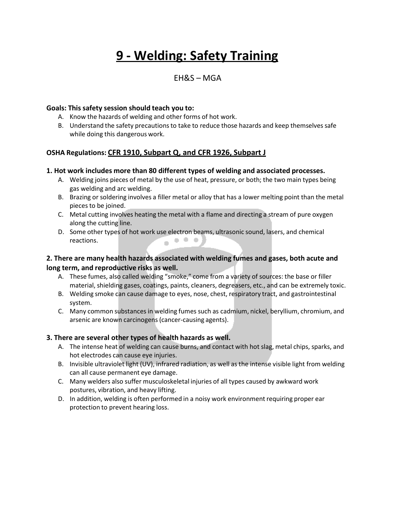# **9 - Welding: Safety Training**

# EH&S – MGA

#### **Goals: This safety session should teach you to:**

- A. Know the hazards of welding and other forms of hot work.
- B. Understand the safety precautions to take to reduce those hazards and keep themselves safe while doing this dangerous work.

## **OSHA Regulations: CFR 1910, Subpart Q, and CFR 1926, Subpart J**

#### **1. Hot work includes more than 80 different types of welding and associated processes.**

- A. Welding joins pieces of metal by the use of heat, pressure, or both; the two main types being gas welding and arc welding.
- B. Brazing or soldering involves a filler metal or alloy that has a lower melting point than the metal pieces to be joined.
- C. Metal cutting involves heating the metal with a flame and directing a stream of pure oxygen along the cutting line.
- D. Some other types of hot work use electron beams, ultrasonic sound, lasers, and chemical reactions.

## **2. There are many health hazards associated with welding fumes and gases, both acute and long term, and reproductive risks as well.**

- A. These fumes, also called welding "smoke," come from a variety of sources: the base or filler material, shielding gases, coatings, paints, cleaners, degreasers, etc., and can be extremely toxic.
- B. Welding smoke can cause damage to eyes, nose, chest, respiratory tract, and gastrointestinal system.
- C. Many common substances in welding fumes such as cadmium, nickel, beryllium, chromium, and arsenic are known carcinogens(cancer-causing agents).

#### **3. There are several other types of health hazards as well.**

- A. The intense heat of welding can cause burns, and contact with hot slag, metal chips, sparks, and hot electrodes can cause eye injuries.
- B. Invisible ultraviolet light (UV), infrared radiation, as well as the intense visible light from welding can all cause permanent eye damage.
- C. Many welders also suffer musculoskeletal injuries of all types caused by awkward work postures, vibration, and heavy lifting.
- D. In addition, welding is often performed in a noisy work environment requiring proper ear protection to prevent hearing loss.